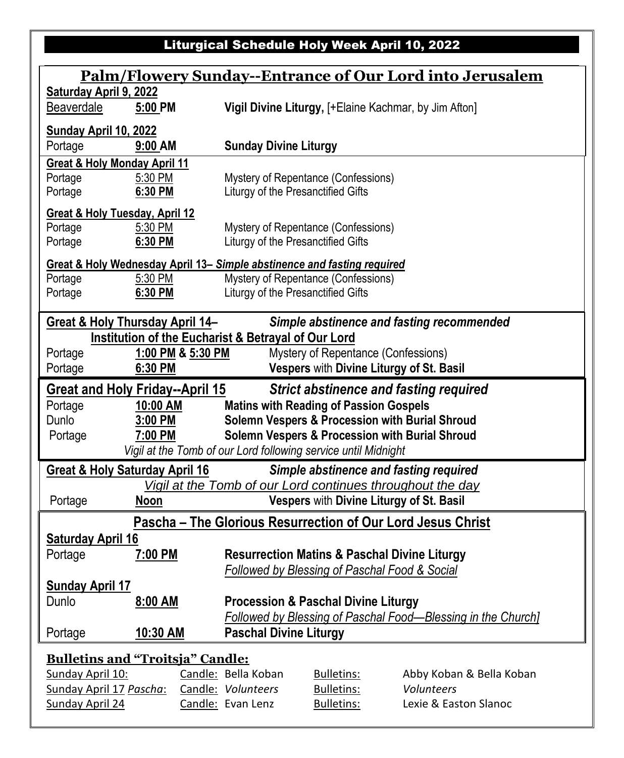## Liturgical Schedule Holy Week April 10, 2022

| <b>Palm/Flowery Sunday--Entrance of Our Lord into Jerusalem</b>                                                                  |                                                                                                                 |                                                |                                                                           |                   |                          |
|----------------------------------------------------------------------------------------------------------------------------------|-----------------------------------------------------------------------------------------------------------------|------------------------------------------------|---------------------------------------------------------------------------|-------------------|--------------------------|
| Saturday April 9, 2022                                                                                                           |                                                                                                                 |                                                |                                                                           |                   |                          |
| Beaverdale                                                                                                                       | 5:00 PM                                                                                                         |                                                | Vigil Divine Liturgy, [+Elaine Kachmar, by Jim Afton]                     |                   |                          |
| Sunday April 10, 2022                                                                                                            |                                                                                                                 |                                                |                                                                           |                   |                          |
| Portage<br>$9:00$ AM                                                                                                             |                                                                                                                 |                                                | <b>Sunday Divine Liturgy</b>                                              |                   |                          |
| Portage                                                                                                                          | <b>Great &amp; Holy Monday April 11</b><br>5:30 PM                                                              |                                                | Mystery of Repentance (Confessions)                                       |                   |                          |
| Portage                                                                                                                          | 6:30 PM                                                                                                         |                                                | Liturgy of the Presanctified Gifts                                        |                   |                          |
| Great & Holy Tuesday, April 12                                                                                                   |                                                                                                                 |                                                |                                                                           |                   |                          |
| 5:30 PM<br>Portage                                                                                                               |                                                                                                                 |                                                | Mystery of Repentance (Confessions)                                       |                   |                          |
| Portage                                                                                                                          | Liturgy of the Presanctified Gifts<br>6:30 PM                                                                   |                                                |                                                                           |                   |                          |
| Great & Holy Wednesday April 13– Simple abstinence and fasting required                                                          |                                                                                                                 |                                                |                                                                           |                   |                          |
| Portage<br>5:30 PM<br>6:30 PM<br>Portage                                                                                         |                                                                                                                 |                                                | Mystery of Repentance (Confessions)<br>Liturgy of the Presanctified Gifts |                   |                          |
|                                                                                                                                  |                                                                                                                 |                                                |                                                                           |                   |                          |
| Great & Holy Thursday April 14-<br>Simple abstinence and fasting recommended                                                     |                                                                                                                 |                                                |                                                                           |                   |                          |
| Institution of the Eucharist & Betrayal of Our Lord                                                                              |                                                                                                                 |                                                |                                                                           |                   |                          |
| Portage<br>Portage                                                                                                               | Mystery of Repentance (Confessions)<br>1:00 PM & 5:30 PM<br>Vespers with Divine Liturgy of St. Basil<br>6:30 PM |                                                |                                                                           |                   |                          |
| <b>Great and Holy Friday--April 15</b><br><b>Strict abstinence and fasting required</b>                                          |                                                                                                                 |                                                |                                                                           |                   |                          |
| <b>Matins with Reading of Passion Gospels</b><br>Portage<br>10:00 AM                                                             |                                                                                                                 |                                                |                                                                           |                   |                          |
| Dunlo                                                                                                                            | 3:00 PM                                                                                                         |                                                | Solemn Vespers & Procession with Burial Shroud                            |                   |                          |
| Portage<br>7:00 PM                                                                                                               |                                                                                                                 | Solemn Vespers & Procession with Burial Shroud |                                                                           |                   |                          |
| Vigil at the Tomb of our Lord following service until Midnight                                                                   |                                                                                                                 |                                                |                                                                           |                   |                          |
| Simple abstinence and fasting required<br><b>Great &amp; Holy Saturday April 16</b>                                              |                                                                                                                 |                                                |                                                                           |                   |                          |
| Vigil at the Tomb of our Lord continues throughout the day<br>Vespers with Divine Liturgy of St. Basil<br>Portage<br><b>Noon</b> |                                                                                                                 |                                                |                                                                           |                   |                          |
|                                                                                                                                  |                                                                                                                 |                                                |                                                                           |                   |                          |
| Pascha – The Glorious Resurrection of Our Lord Jesus Christ<br><b>Saturday April 16</b>                                          |                                                                                                                 |                                                |                                                                           |                   |                          |
| 7:00 PM<br><b>Resurrection Matins &amp; Paschal Divine Liturgy</b><br>Portage                                                    |                                                                                                                 |                                                |                                                                           |                   |                          |
|                                                                                                                                  |                                                                                                                 |                                                | Followed by Blessing of Paschal Food & Social                             |                   |                          |
| <b>Sunday April 17</b>                                                                                                           |                                                                                                                 |                                                |                                                                           |                   |                          |
| Dunlo<br>8:00 AM                                                                                                                 |                                                                                                                 | <b>Procession &amp; Paschal Divine Liturgy</b> |                                                                           |                   |                          |
|                                                                                                                                  |                                                                                                                 |                                                | Followed by Blessing of Paschal Food-Blessing in the Church]              |                   |                          |
| 10:30 AM<br>Portage                                                                                                              |                                                                                                                 | <b>Paschal Divine Liturgy</b>                  |                                                                           |                   |                          |
| <b>Bulletins and "Troitsja" Candle:</b>                                                                                          |                                                                                                                 |                                                |                                                                           |                   |                          |
| Sunday April 10:                                                                                                                 |                                                                                                                 |                                                | Candle: Bella Koban                                                       | <b>Bulletins:</b> | Abby Koban & Bella Koban |
| Sunday April 17 Pascha:                                                                                                          |                                                                                                                 |                                                | Candle: Volunteers                                                        | <b>Bulletins:</b> | Volunteers               |
| Sunday April 24                                                                                                                  |                                                                                                                 |                                                | Candle: Evan Lenz                                                         | <b>Bulletins:</b> | Lexie & Easton Slanoc    |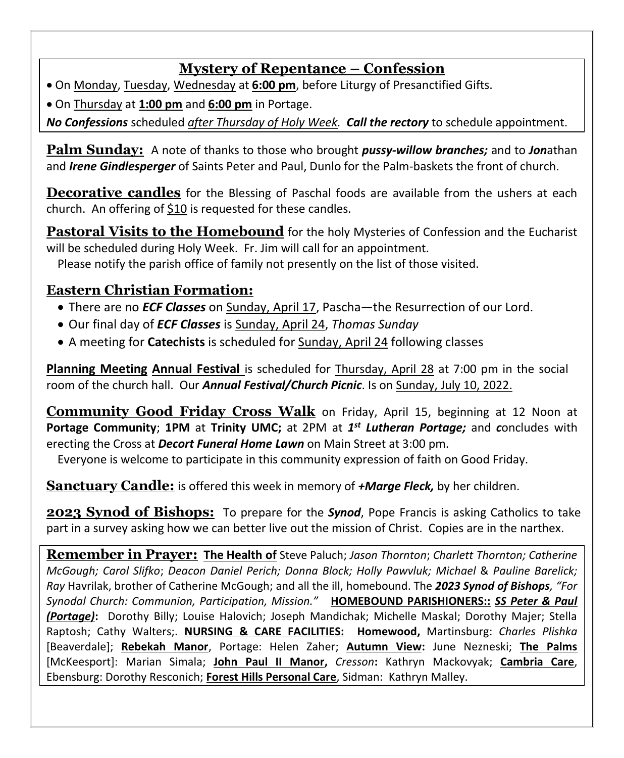### **Mystery of Repentance – Confession**

- On Monday, Tuesday, Wednesday at **6:00 pm**, before Liturgy of Presanctified Gifts.
- On Thursday at **1:00 pm** and **6:00 pm** in Portage.

*No Confessions* scheduled *after Thursday of Holy Week. Call the rectory* to schedule appointment.

**Palm Sunday:** A note of thanks to those who brought *pussy-willow branches;* and to *Jon*athan and *Irene Gindlesperger* of Saints Peter and Paul, Dunlo for the Palm-baskets the front of church.

**Decorative candles** for the Blessing of Paschal foods are available from the ushers at each church. An offering of \$10 is requested for these candles.

Pastoral Visits to the Homebound for the holy Mysteries of Confession and the Eucharist will be scheduled during Holy Week. Fr. Jim will call for an appointment. Please notify the parish office of family not presently on the list of those visited.

#### **Eastern Christian Formation:**

- There are no *ECF Classes* on Sunday, April 17, Pascha—the Resurrection of our Lord.
- Our final day of *ECF Classes* is Sunday, April 24, *Thomas Sunday*
- A meeting for **Catechists** is scheduled for Sunday, April 24 following classes

**Planning Meeting Annual Festival** is scheduled for Thursday, April 28 at 7:00 pm in the social room of the church hall. Our *Annual Festival/Church Picnic*. Is on Sunday, July 10, 2022.

**Community Good Friday Cross Walk** on Friday, April 15, beginning at 12 Noon at **Portage Community**; **1PM** at **Trinity UMC;** at 2PM at *1 st Lutheran Portage;* and *c*oncludes with erecting the Cross at *Decort Funeral Home Lawn* on Main Street at 3:00 pm.

Everyone is welcome to participate in this community expression of faith on Good Friday.

**Sanctuary Candle:** is offered this week in memory of *+Marge Fleck,* by her children.

**2023 Synod of Bishops:** To prepare for the *Synod*, Pope Francis is asking Catholics to take part in a survey asking how we can better live out the mission of Christ. Copies are in the narthex.

**Remember in Prayer: The Health of** Steve Paluch; *Jason Thornton*; *Charlett Thornton; Catherine McGough; Carol Slifko*; *Deacon Daniel Perich; Donna Block; Holly Pawvluk; Michael* & *Pauline Barelick; Ray* Havrilak, brother of Catherine McGough; and all the ill, homebound. The *2023 Synod of Bishops, "For Synodal Church: Communion, Participation, Mission."* **HOMEBOUND PARISHIONERS::** *SS Peter & Paul (Portage)***:** Dorothy Billy; Louise Halovich; Joseph Mandichak; Michelle Maskal; Dorothy Majer; Stella Raptosh; Cathy Walters;. **NURSING & CARE FACILITIES: Homewood,** Martinsburg: *Charles Plishka* [Beaverdale]; **Rebekah Manor**, Portage: Helen Zaher; **Autumn View:** June Nezneski; **The Palms** [McKeesport]: Marian Simala; **John Paul II Manor,** *Cresson***:** Kathryn Mackovyak; **Cambria Care**, Ebensburg: Dorothy Resconich; **Forest Hills Personal Care**, Sidman: Kathryn Malley.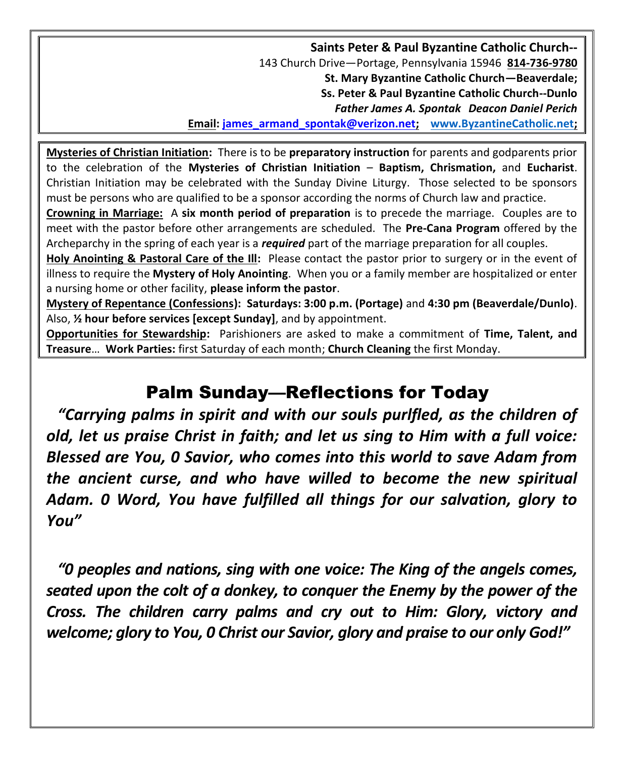**Saints Peter & Paul Byzantine Catholic Church--** 143 Church Drive—Portage, Pennsylvania 15946 **814-736-9780 St. Mary Byzantine Catholic Church—Beaverdale; Ss. Peter & Paul Byzantine Catholic Church--Dunlo** *Father James A. Spontak Deacon Daniel Perich*

**Email: [james\\_armand\\_spontak@verizon.net;](mailto:james_armand_spontak@verizon.net) [www.ByzantineCatholic.net;](http://www.byzantinecatholic.net/)** 

**Mysteries of Christian Initiation:** There is to be **preparatory instruction** for parents and godparents prior to the celebration of the **Mysteries of Christian Initiation** – **Baptism, Chrismation,** and **Eucharist**. Christian Initiation may be celebrated with the Sunday Divine Liturgy. Those selected to be sponsors must be persons who are qualified to be a sponsor according the norms of Church law and practice.

**Crowning in Marriage:** A **six month period of preparation** is to precede the marriage. Couples are to meet with the pastor before other arrangements are scheduled. The **Pre-Cana Program** offered by the Archeparchy in the spring of each year is a *required* part of the marriage preparation for all couples.

**Holy Anointing & Pastoral Care of the Ill:** Please contact the pastor prior to surgery or in the event of illness to require the **Mystery of Holy Anointing**. When you or a family member are hospitalized or enter a nursing home or other facility, **please inform the pastor**.

**Mystery of Repentance (Confessions): Saturdays: 3:00 p.m. (Portage)** and **4:30 pm (Beaverdale/Dunlo)**. Also, **½ hour before services [except Sunday]**, and by appointment.

**Opportunities for Stewardship:** Parishioners are asked to make a commitment of **Time, Talent, and Treasure**… **Work Parties:** first Saturday of each month; **Church Cleaning** the first Monday.

# Palm Sunday—Reflections for Today

*"Carrying palms in spirit and with our souls purlfled, as the children of old, let us praise Christ in faith; and let us sing to Him with a full voice: Blessed are You, 0 Savior, who comes into this world to save Adam from the ancient curse, and who have willed to become the new spiritual Adam. 0 Word, You have fulfilled all things for our salvation, glory to You"*

*"0 peoples and nations, sing with one voice: The King of the angels comes, seated upon the colt of a donkey, to conquer the Enemy by the power of the Cross. The children carry palms and cry out to Him: Glory, victory and welcome; glory to You, 0 Christ our Savior, glory and praise to our only God!"*